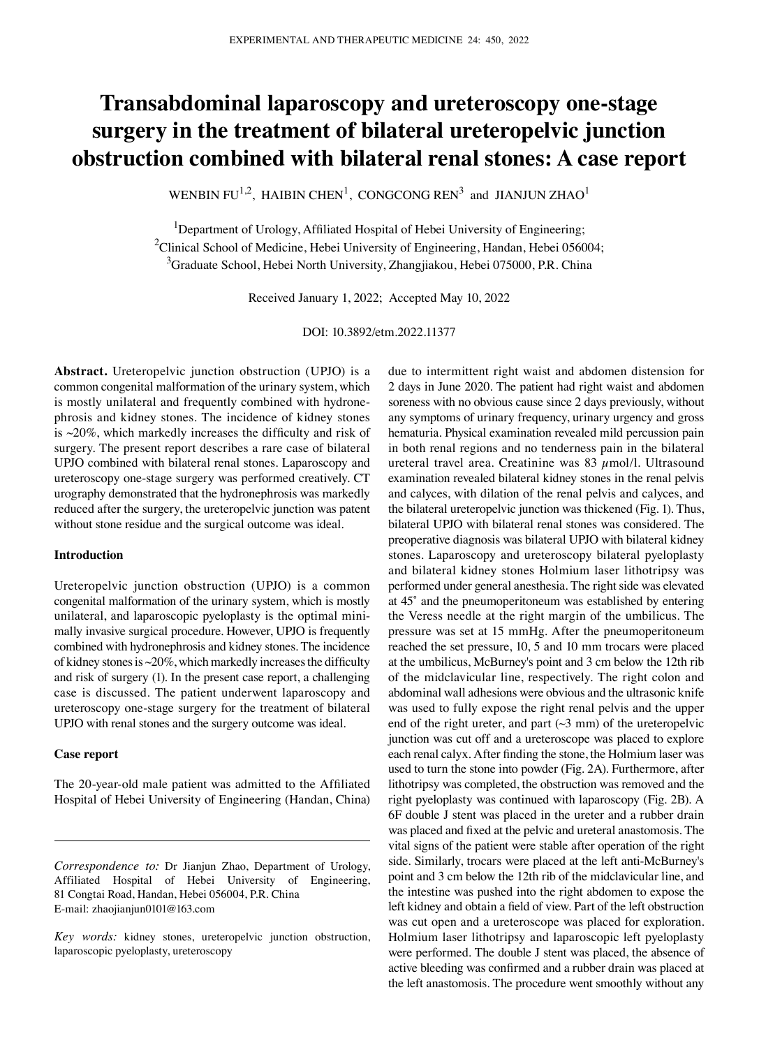# **Transabdominal laparoscopy and ureteroscopy one‑stage surgery in the treatment of bilateral ureteropelvic junction obstruction combined with bilateral renal stones: A case report**

WENBIN FU<sup>1,2</sup>, HAIBIN CHEN<sup>1</sup>, CONGCONG REN<sup>3</sup> and JIANJUN ZHAO<sup>1</sup>

<sup>1</sup>Department of Urology, Affiliated Hospital of Hebei University of Engineering; <sup>2</sup>Clinical School of Medicine, Hebei University of Engineering, Handan, Hebei 056004;  $^3$ Graduate School, Hebei North University, Zhangjiakou, Hebei 075000, P.R. China

Received January 1, 2022; Accepted May 10, 2022

DOI: 10.3892/etm.2022.11377

**Abstract.** Ureteropelvic junction obstruction (UPJO) is a common congenital malformation of the urinary system, which is mostly unilateral and frequently combined with hydronephrosis and kidney stones. The incidence of kidney stones is  $\sim$ 20%, which markedly increases the difficulty and risk of surgery. The present report describes a rare case of bilateral UPJO combined with bilateral renal stones. Laparoscopy and ureteroscopy one‑stage surgery was performed creatively. CT urography demonstrated that the hydronephrosis was markedly reduced after the surgery, the ureteropelvic junction was patent without stone residue and the surgical outcome was ideal.

## **Introduction**

Ureteropelvic junction obstruction (UPJO) is a common congenital malformation of the urinary system, which is mostly unilateral, and laparoscopic pyeloplasty is the optimal minimally invasive surgical procedure. However, UPJO is frequently combined with hydronephrosis and kidney stones. The incidence of kidney stones is  $\sim$  20%, which markedly increases the difficulty and risk of surgery (1). In the present case report, a challenging case is discussed. The patient underwent laparoscopy and ureteroscopy one‑stage surgery for the treatment of bilateral UPJO with renal stones and the surgery outcome was ideal.

#### **Case report**

The 20‑year‑old male patient was admitted to the Affiliated Hospital of Hebei University of Engineering (Handan, China) due to intermittent right waist and abdomen distension for 2 days in June 2020. The patient had right waist and abdomen soreness with no obvious cause since 2 days previously, without any symptoms of urinary frequency, urinary urgency and gross hematuria. Physical examination revealed mild percussion pain in both renal regions and no tenderness pain in the bilateral ureteral travel area. Creatinine was 83  $\mu$ mol/l. Ultrasound examination revealed bilateral kidney stones in the renal pelvis and calyces, with dilation of the renal pelvis and calyces, and the bilateral ureteropelvic junction was thickened (Fig. 1). Thus, bilateral UPJO with bilateral renal stones was considered. The preoperative diagnosis was bilateral UPJO with bilateral kidney stones. Laparoscopy and ureteroscopy bilateral pyeloplasty and bilateral kidney stones Holmium laser lithotripsy was performed under general anesthesia. The right side was elevated at 45˚ and the pneumoperitoneum was established by entering the Veress needle at the right margin of the umbilicus. The pressure was set at 15 mmHg. After the pneumoperitoneum reached the set pressure, 10, 5 and 10 mm trocars were placed at the umbilicus, McBurney's point and 3 cm below the 12th rib of the midclavicular line, respectively. The right colon and abdominal wall adhesions were obvious and the ultrasonic knife was used to fully expose the right renal pelvis and the upper end of the right ureter, and part  $(\sim 3 \text{ mm})$  of the ureteropelvic junction was cut off and a ureteroscope was placed to explore each renal calyx. After finding the stone, the Holmium laser was used to turn the stone into powder (Fig. 2A). Furthermore, after lithotripsy was completed, the obstruction was removed and the right pyeloplasty was continued with laparoscopy (Fig. 2B). A 6F double J stent was placed in the ureter and a rubber drain was placed and fixed at the pelvic and ureteral anastomosis. The vital signs of the patient were stable after operation of the right side. Similarly, trocars were placed at the left anti‑McBurney's point and 3 cm below the 12th rib of the midclavicular line, and the intestine was pushed into the right abdomen to expose the left kidney and obtain a field of view. Part of the left obstruction was cut open and a ureteroscope was placed for exploration. Holmium laser lithotripsy and laparoscopic left pyeloplasty were performed. The double J stent was placed, the absence of active bleeding was confirmed and a rubber drain was placed at the left anastomosis. The procedure went smoothly without any

*Correspondence to:* Dr Jianjun Zhao, Department of Urology, Affiliated Hospital of Hebei University of Engineering, 81 Congtai Road, Handan, Hebei 056004, P.R. China E‑mail: zhaojianjun0101@163.com

*Key words:* kidney stones, ureteropelvic junction obstruction, laparoscopic pyeloplasty, ureteroscopy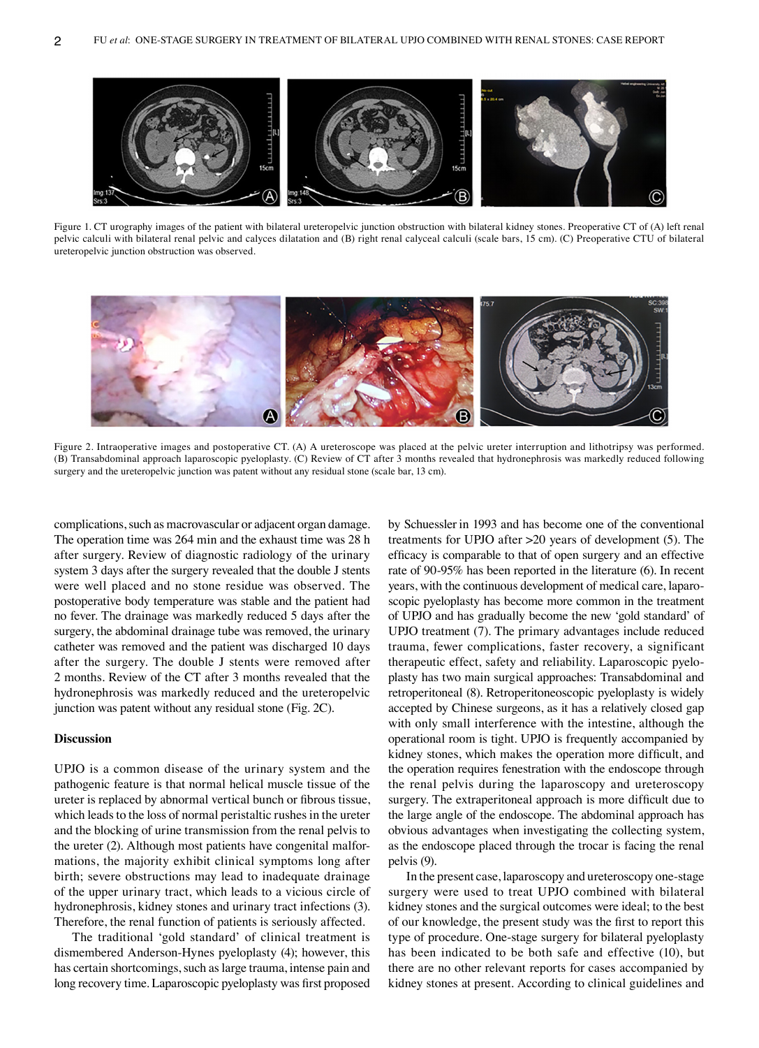

Figure 1. CT urography images of the patient with bilateral ureteropelvic junction obstruction with bilateral kidney stones. Preoperative CT of (A) left renal pelvic calculi with bilateral renal pelvic and calyces dilatation and (B) right renal calyceal calculi (scale bars, 15 cm). (C) Preoperative CTU of bilateral ureteropelvic junction obstruction was observed.



Figure 2. Intraoperative images and postoperative CT. (A) A ureteroscope was placed at the pelvic ureter interruption and lithotripsy was performed. (B) Transabdominal approach laparoscopic pyeloplasty. (C) Review of CT after 3 months revealed that hydronephrosis was markedly reduced following surgery and the ureteropelvic junction was patent without any residual stone (scale bar, 13 cm).

complications, such as macrovascular or adjacent organ damage. The operation time was 264 min and the exhaust time was 28 h after surgery. Review of diagnostic radiology of the urinary system 3 days after the surgery revealed that the double J stents were well placed and no stone residue was observed. The postoperative body temperature was stable and the patient had no fever. The drainage was markedly reduced 5 days after the surgery, the abdominal drainage tube was removed, the urinary catheter was removed and the patient was discharged 10 days after the surgery. The double J stents were removed after 2 months. Review of the CT after 3 months revealed that the hydronephrosis was markedly reduced and the ureteropelvic junction was patent without any residual stone (Fig. 2C).

# **Discussion**

UPJO is a common disease of the urinary system and the pathogenic feature is that normal helical muscle tissue of the ureter is replaced by abnormal vertical bunch or fibrous tissue, which leads to the loss of normal peristaltic rushes in the ureter and the blocking of urine transmission from the renal pelvis to the ureter (2). Although most patients have congenital malformations, the majority exhibit clinical symptoms long after birth; severe obstructions may lead to inadequate drainage of the upper urinary tract, which leads to a vicious circle of hydronephrosis, kidney stones and urinary tract infections (3). Therefore, the renal function of patients is seriously affected.

The traditional 'gold standard' of clinical treatment is dismembered Anderson‑Hynes pyeloplasty (4); however, this has certain shortcomings, such as large trauma, intense pain and long recovery time. Laparoscopic pyeloplasty was first proposed by Schuessler in 1993 and has become one of the conventional treatments for UPJO after >20 years of development (5). The efficacy is comparable to that of open surgery and an effective rate of 90‑95% has been reported in the literature (6). In recent years, with the continuous development of medical care, laparoscopic pyeloplasty has become more common in the treatment of UPJO and has gradually become the new 'gold standard' of UPJO treatment (7). The primary advantages include reduced trauma, fewer complications, faster recovery, a significant therapeutic effect, safety and reliability. Laparoscopic pyeloplasty has two main surgical approaches: Transabdominal and retroperitoneal (8). Retroperitoneoscopic pyeloplasty is widely accepted by Chinese surgeons, as it has a relatively closed gap with only small interference with the intestine, although the operational room is tight. UPJO is frequently accompanied by kidney stones, which makes the operation more difficult, and the operation requires fenestration with the endoscope through the renal pelvis during the laparoscopy and ureteroscopy surgery. The extraperitoneal approach is more difficult due to the large angle of the endoscope. The abdominal approach has obvious advantages when investigating the collecting system, as the endoscope placed through the trocar is facing the renal pelvis (9).

In the present case, laparoscopy and ureteroscopy one‑stage surgery were used to treat UPJO combined with bilateral kidney stones and the surgical outcomes were ideal; to the best of our knowledge, the present study was the first to report this type of procedure. One‑stage surgery for bilateral pyeloplasty has been indicated to be both safe and effective (10), but there are no other relevant reports for cases accompanied by kidney stones at present. According to clinical guidelines and